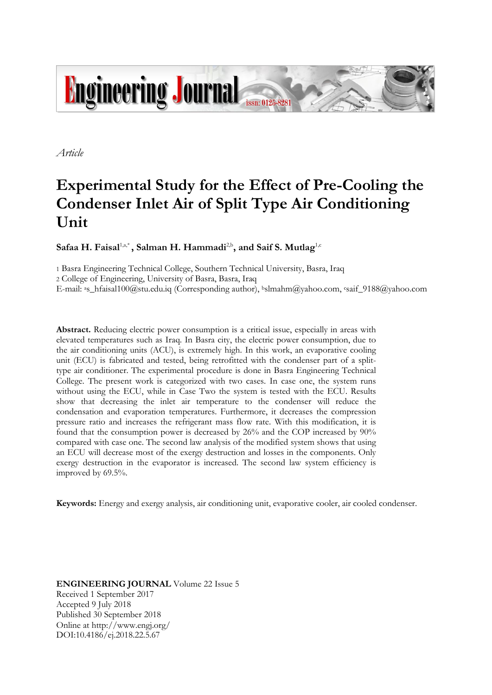

*Article*

# **Experimental Study for the Effect of Pre-Cooling the Condenser Inlet Air of Split Type Air Conditioning Unit**

**Safaa H. Faisal**1,a,\* **, Salman H. Hammadi**2,b **, and Saif S. Mutlag** 1,c

1 Basra Engineering Technical College, Southern Technical University, Basra, Iraq 2 College of Engineering, University of Basra, Basra, Iraq E-mail: <sup>a</sup>[s\\_hfaisal100@stu.edu.iq](mailto:s_hfaisal100@stu.edu.iq) (Corresponding author), <sup>b</sup>[slmahm@yahoo.com,](mailto:slmahm@yahoo.com) <sup>c</sup>[saif\\_9188@yahoo.com](mailto:saif_9188@yahoo.com)

**Abstract.** Reducing electric power consumption is a critical issue, especially in areas with elevated temperatures such as Iraq. In Basra city, the electric power consumption, due to the air conditioning units (ACU), is extremely high. In this work, an evaporative cooling unit (ECU) is fabricated and tested, being retrofitted with the condenser part of a splittype air conditioner. The experimental procedure is done in Basra Engineering Technical College. The present work is categorized with two cases. In case one, the system runs without using the ECU, while in Case Two the system is tested with the ECU. Results show that decreasing the inlet air temperature to the condenser will reduce the condensation and evaporation temperatures. Furthermore, it decreases the compression pressure ratio and increases the refrigerant mass flow rate. With this modification, it is found that the consumption power is decreased by 26% and the COP increased by 90% compared with case one. The second law analysis of the modified system shows that using an ECU will decrease most of the exergy destruction and losses in the components. Only exergy destruction in the evaporator is increased. The second law system efficiency is improved by 69.5%.

**Keywords:** Energy and exergy analysis, air conditioning unit, evaporative cooler, air cooled condenser.

**ENGINEERING JOURNAL** Volume 22 Issue 5 Received 1 September 2017 Accepted 9 July 2018 Published 30 September 2018 Online at http://www.engj.org/ DOI:10.4186/ej.2018.22.5.67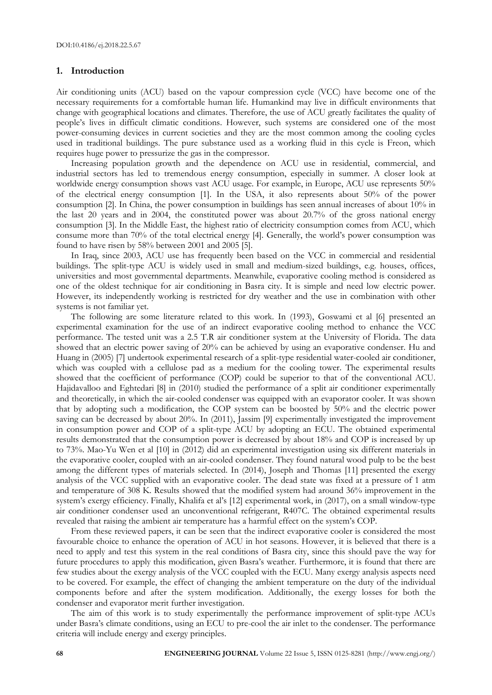#### **1. Introduction**

Air conditioning units (ACU) based on the vapour compression cycle (VCC) have become one of the necessary requirements for a comfortable human life. Humankind may live in difficult environments that change with geographical locations and climates. Therefore, the use of ACU greatly facilitates the quality of people's lives in difficult climatic conditions. However, such systems are considered one of the most power-consuming devices in current societies and they are the most common among the cooling cycles used in traditional buildings. The pure substance used as a working fluid in this cycle is Freon, which requires huge power to pressurize the gas in the compressor.

Increasing population growth and the dependence on ACU use in residential, commercial, and industrial sectors has led to tremendous energy consumption, especially in summer. A closer look at worldwide energy consumption shows vast ACU usage. For example, in Europe, ACU use represents 50% of the electrical energy consumption [1]. In the USA, it also represents about 50% of the power consumption [2]. In China, the power consumption in buildings has seen annual increases of about 10% in the last 20 years and in 2004, the constituted power was about 20.7% of the gross national energy consumption [3]. In the Middle East, the highest ratio of electricity consumption comes from ACU, which consume more than 70% of the total electrical energy [4]. Generally, the world's power consumption was found to have risen by 58% between 2001 and 2005 [5].

In Iraq, since 2003, ACU use has frequently been based on the VCC in commercial and residential buildings. The split-type ACU is widely used in small and medium-sized buildings, e.g. houses, offices, universities and most governmental departments. Meanwhile, evaporative cooling method is considered as one of the oldest technique for air conditioning in Basra city. It is simple and need low electric power. However, its independently working is restricted for dry weather and the use in combination with other systems is not familiar yet.

The following are some literature related to this work. In (1993), Goswami et al [6] presented an experimental examination for the use of an indirect evaporative cooling method to enhance the VCC performance. The tested unit was a 2.5 T.R air conditioner system at the University of Florida. The data showed that an electric power saving of 20% can be achieved by using an evaporative condenser. Hu and Huang in (2005) [7] undertook experimental research of a split-type residential water-cooled air conditioner, which was coupled with a cellulose pad as a medium for the cooling tower. The experimental results showed that the coefficient of performance (COP) could be superior to that of the conventional ACU. Hajidavalloo and Eghtedari [8] in (2010) studied the performance of a split air conditioner experimentally and theoretically, in which the air-cooled condenser was equipped with an evaporator cooler. It was shown that by adopting such a modification, the COP system can be boosted by 50% and the electric power saving can be decreased by about 20%. In (2011), Jassim [9] experimentally investigated the improvement in consumption power and COP of a split-type ACU by adopting an ECU. The obtained experimental results demonstrated that the consumption power is decreased by about 18% and COP is increased by up to 73%. Mao-Yu Wen et al [10] in (2012) did an experimental investigation using six different materials in the evaporative cooler, coupled with an air-cooled condenser. They found natural wood pulp to be the best among the different types of materials selected. In (2014), Joseph and Thomas [11] presented the exergy analysis of the VCC supplied with an evaporative cooler. The dead state was fixed at a pressure of 1 atm and temperature of 308 K. Results showed that the modified system had around 36% improvement in the system's exergy efficiency. Finally, Khalifa et al's [12] experimental work, in (2017), on a small window-type air conditioner condenser used an unconventional refrigerant, R407C. The obtained experimental results revealed that raising the ambient air temperature has a harmful effect on the system's COP.

From these reviewed papers, it can be seen that the indirect evaporative cooler is considered the most favourable choice to enhance the operation of ACU in hot seasons. However, it is believed that there is a need to apply and test this system in the real conditions of Basra city, since this should pave the way for future procedures to apply this modification, given Basra's weather. Furthermore, it is found that there are few studies about the exergy analysis of the VCC coupled with the ECU. Many exergy analysis aspects need to be covered. For example, the effect of changing the ambient temperature on the duty of the individual components before and after the system modification. Additionally, the exergy losses for both the condenser and evaporator merit further investigation.

The aim of this work is to study experimentally the performance improvement of split-type ACUs under Basra's climate conditions, using an ECU to pre-cool the air inlet to the condenser. The performance criteria will include energy and exergy principles.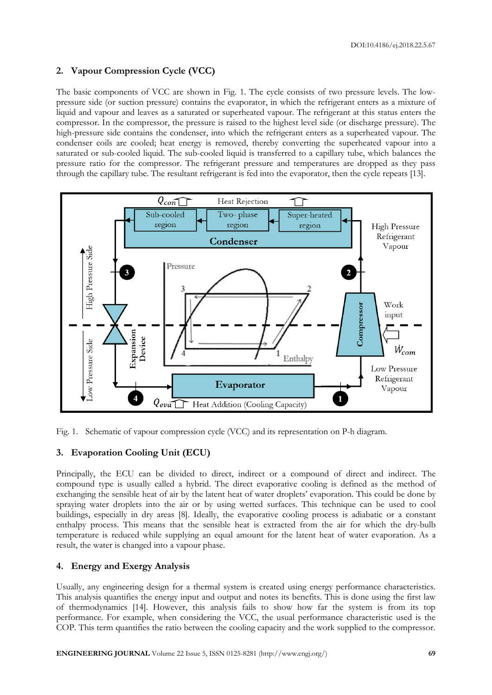# **2. Vapour Compression Cycle (VCC)**

The basic components of VCC are shown in Fig. 1. The cycle consists of two pressure levels. The lowpressure side (or suction pressure) contains the evaporator, in which the refrigerant enters as a mixture of liquid and vapour and leaves as a saturated or superheated vapour. The refrigerant at this status enters the compressor. In the compressor, the pressure is raised to the highest level side (or discharge pressure). The high-pressure side contains the condenser, into which the refrigerant enters as a superheated vapour. The condenser coils are cooled; heat energy is removed, thereby converting the superheated vapour into a saturated or sub-cooled liquid. The sub-cooled liquid is transferred to a capillary tube, which balances the pressure ratio for the compressor. The refrigerant pressure and temperatures are dropped as they pass through the capillary tube. The resultant refrigerant is fed into the evaporator, then the cycle repeats [13].



Fig. 1. Schematic of vapour compression cycle (VCC) and its representation on P-h diagram.

# **3. Evaporation Cooling Unit (ECU)**

Principally, the ECU can be divided to direct, indirect or a compound of direct and indirect. The compound type is usually called a hybrid. The direct evaporative cooling is defined as the method of exchanging the sensible heat of air by the latent heat of water droplets' evaporation. This could be done by spraying water droplets into the air or by using wetted surfaces. This technique can be used to cool buildings, especially in dry areas [8]. Ideally, the evaporative cooling process is adiabatic or a constant enthalpy process. This means that the sensible heat is extracted from the air for which the dry-bulb temperature is reduced while supplying an equal amount for the latent heat of water evaporation. As a result, the water is changed into a vapour phase.

# **4. Energy and Exergy Analysis**

Usually, any engineering design for a thermal system is created using energy performance characteristics. This analysis quantifies the energy input and output and notes its benefits. This is done using the first law of thermodynamics [14]. However, this analysis fails to show how far the system is from its top performance. For example, when considering the VCC, the usual performance characteristic used is the COP. This term quantifies the ratio between the cooling capacity and the work supplied to the compressor.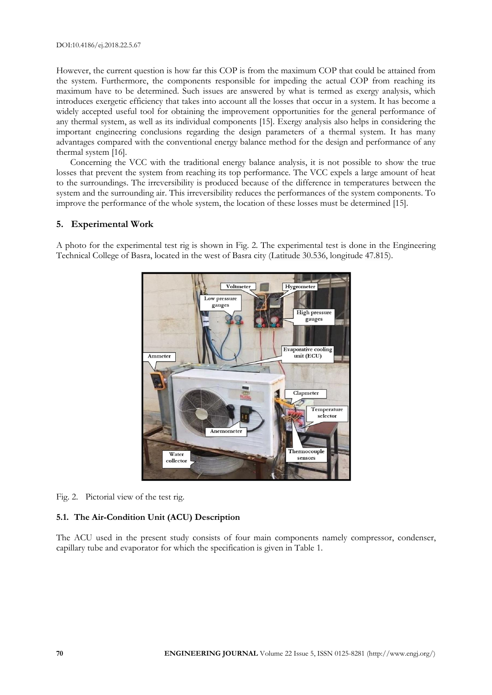However, the current question is how far this COP is from the maximum COP that could be attained from the system. Furthermore, the components responsible for impeding the actual COP from reaching its maximum have to be determined. Such issues are answered by what is termed as exergy analysis, which introduces exergetic efficiency that takes into account all the losses that occur in a system. It has become a widely accepted useful tool for obtaining the improvement opportunities for the general performance of any thermal system, as well as its individual components [15]. Exergy analysis also helps in considering the important engineering conclusions regarding the design parameters of a thermal system. It has many advantages compared with the conventional energy balance method for the design and performance of any thermal system [16].

Concerning the VCC with the traditional energy balance analysis, it is not possible to show the true losses that prevent the system from reaching its top performance. The VCC expels a large amount of heat to the surroundings. The irreversibility is produced because of the difference in temperatures between the system and the surrounding air. This irreversibility reduces the performances of the system components. To improve the performance of the whole system, the location of these losses must be determined [15].

# **5. Experimental Work**

A photo for the experimental test rig is shown in Fig. 2. The experimental test is done in the Engineering Technical College of Basra, located in the west of Basra city (Latitude 30.536, longitude 47.815).



Fig. 2. Pictorial view of the test rig.

# **5.1. The Air-Condition Unit (ACU) Description**

The ACU used in the present study consists of four main components namely compressor, condenser, capillary tube and evaporator for which the specification is given in Table 1.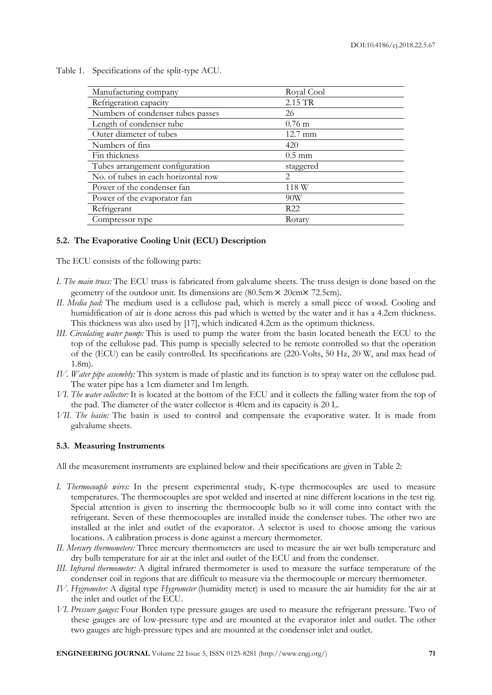| Manufacturing company               | Royal Cool                  |
|-------------------------------------|-----------------------------|
| Refrigeration capacity              | 2.15 TR                     |
| Numbers of condenser tubes passes   | 26                          |
| Length of condenser tube            | $0.76$ m                    |
| Outer diameter of tubes             | $12.7 \text{ mm}$           |
| Numbers of fins                     | 420                         |
| Fin thickness                       | $0.5 \text{ mm}$            |
| Tubes arrangement configuration     | staggered                   |
| No. of tubes in each horizontal row | $\mathcal{D}_{\mathcal{L}}$ |
| Power of the condenser fan          | 118 W                       |
| Power of the evaporator fan         | 90W                         |
| Refrigerant                         | R <sub>22</sub>             |
| Compressor type                     | Rotary                      |

Table 1. Specifications of the split-type ACU.

### **5.2. The Evaporative Cooling Unit (ECU) Description**

The ECU consists of the following parts:

- *I. The main truss:* The ECU truss is fabricated from galvalume sheets. The truss design is done based on the geometry of the outdoor unit. Its dimensions are (80.5cm × 20cm× 72.5cm).
- *II. Media pad:* The medium used is a cellulose pad, which is merely a small piece of wood. Cooling and humidification of air is done across this pad which is wetted by the water and it has a 4.2cm thickness. This thickness was also used by [17], which indicated 4.2cm as the optimum thickness.
- *III. Circulating water pump:* This is used to pump the water from the basin located beneath the ECU to the top of the cellulose pad. This pump is specially selected to be remote controlled so that the operation of the (ECU) can be easily controlled. Its specifications are (220-Volts, 50 Hz, 20 W, and max head of 1.8m).
- *IV. Water pipe assembly:* This system is made of plastic and its function is to spray water on the cellulose pad. The water pipe has a 1cm diameter and 1m length.
- *VI. The water collector:* It is located at the bottom of the ECU and it collects the falling water from the top of the pad. The diameter of the water collector is 40cm and its capacity is 20 L.
- *VII. The basin:* The basin is used to control and compensate the evaporative water. It is made from galvalume sheets.

#### **5.3. Measuring Instruments**

All the measurement instruments are explained below and their specifications are given in Table 2:

- *I. Thermocouple wires:* In the present experimental study, K-type thermocouples are used to measure temperatures. The thermocouples are spot welded and inserted at nine different locations in the test rig. Special attention is given to inserting the thermocouple bulb so it will come into contact with the refrigerant. Seven of these thermocouples are installed inside the condenser tubes. The other two are installed at the inlet and outlet of the evaporator. A selector is used to choose among the various locations. A calibration process is done against a mercury thermometer.
- *II. Mercury thermometers:* Three mercury thermometers are used to measure the air wet bulb temperature and dry bulb temperature for air at the inlet and outlet of the ECU and from the condenser.
- *III. Infrared thermometer:* A digital infrared thermometer is used to measure the surface temperature of the condenser coil in regions that are difficult to measure via the thermocouple or mercury thermometer.
- *IV. Hygrometer:* A digital type *Hygrometer* (humidity meter) is used to measure the air humidity for the air at the inlet and outlet of the ECU.
- *VI. Pressure gauges:* Four Borden type pressure gauges are used to measure the refrigerant pressure. Two of these gauges are of low-pressure type and are mounted at the evaporator inlet and outlet. The other two gauges are high-pressure types and are mounted at the condenser inlet and outlet.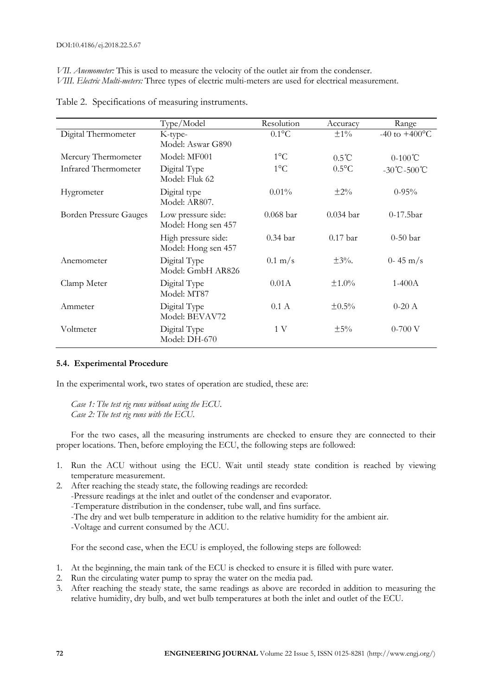*VII. Anemometer:* This is used to measure the velocity of the outlet air from the condenser. *VIII. Electric Multi-meters:* Three types of electric multi-meters are used for electrical measurement.

|                               | Type/Model                                 | Resolution         | Accuracy            | Range                            |
|-------------------------------|--------------------------------------------|--------------------|---------------------|----------------------------------|
| Digital Thermometer           | K-type-                                    | $0.1$ °C           | $\pm 1\%$           | $-40$ to $+400$ <sup>o</sup> C   |
|                               | Model: Aswar G890                          |                    |                     |                                  |
| Mercury Thermometer           | Model: MF001                               | $1^{\circ}C$       | $0.5^{\circ}C$      | $0-100^{\circ}C$                 |
| Infrared Thermometer          | Digital Type<br>Model: Fluk 62             | $1^{\circ}C$       | $0.5^{\circ}$ C     | $-30^{\circ}$ C $-500^{\circ}$ C |
| Hygrometer                    | Digital type<br>Model: AR807.              | $0.01\%$           | $\pm 2\%$           | $0-95%$                          |
| <b>Borden Pressure Gauges</b> | Low pressure side:<br>Model: Hong sen 457  | $0.068$ bar        | $0.034$ bar         | $0-17.5bar$                      |
|                               | High pressure side:<br>Model: Hong sen 457 | $0.34\,\text{bar}$ | 0.17 <sub>bar</sub> | $0-50$ bar                       |
| Anemometer                    | Digital Type<br>Model: GmbH AR826          | $0.1 \text{ m/s}$  | $\pm 3\%$ .         | $0 - 45$ m/s                     |
| Clamp Meter                   | Digital Type<br>Model: MT87                | 0.01A              | $\pm 1.0\%$         | $1-400A$                         |
| Ammeter                       | Digital Type<br>Model: BEVAV72             | 0.1 A              | $\pm 0.5\%$         | $0-20$ A                         |
| Voltmeter                     | Digital Type<br>Model: DH-670              | 1 V                | $\pm$ 5%            | $0-700$ V                        |

Table 2. Specifications of measuring instruments.

#### **5.4. Experimental Procedure**

In the experimental work, two states of operation are studied, these are:

*Case 1: The test rig runs without using the ECU. Case 2: The test rig runs with the ECU.*

For the two cases, all the measuring instruments are checked to ensure they are connected to their proper locations. Then, before employing the ECU, the following steps are followed:

- 1. Run the ACU without using the ECU. Wait until steady state condition is reached by viewing temperature measurement.
- 2. After reaching the steady state, the following readings are recorded:
	- -Pressure readings at the inlet and outlet of the condenser and evaporator.
	- -Temperature distribution in the condenser, tube wall, and fins surface.
	- -The dry and wet bulb temperature in addition to the relative humidity for the ambient air.
	- -Voltage and current consumed by the ACU.

For the second case, when the ECU is employed, the following steps are followed:

- 1. At the beginning, the main tank of the ECU is checked to ensure it is filled with pure water.
- 2. Run the circulating water pump to spray the water on the media pad.
- 3. After reaching the steady state, the same readings as above are recorded in addition to measuring the relative humidity, dry bulb, and wet bulb temperatures at both the inlet and outlet of the ECU.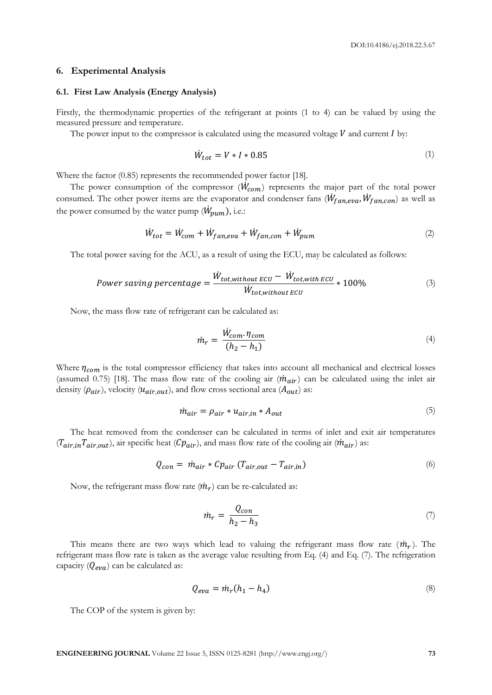#### **6. Experimental Analysis**

#### **6.1. First Law Analysis (Energy Analysis)**

Firstly, the thermodynamic properties of the refrigerant at points (1 to 4) can be valued by using the measured pressure and temperature.

The power input to the compressor is calculated using the measured voltage  $V$  and current  $I$  by:

$$
\dot{W}_{tot} = V \ast I \ast 0.85\tag{1}
$$

Where the factor (0.85) represents the recommended power factor [18].

The power consumption of the compressor  $(\dot{W}_{com})$  represents the major part of the total power consumed. The other power items are the evaporator and condenser fans  $(\dot{W}_{fan, eva}, \dot{W}_{fan, con})$  as well as the power consumed by the water pump  $(\dot{W}_{pum}),$  i.e.:

$$
\dot{W}_{tot} = \dot{W}_{com} + \dot{W}_{fan,eva} + \dot{W}_{fan,con} + \dot{W}_{pum}
$$
\n(2)

The total power saving for the ACU, as a result of using the ECU, may be calculated as follows:

$$
Power\ saving\ percentage = \frac{\dot{W}_{tot, without\ ECU} - \dot{W}_{tot, with\ ECU}}{\dot{W}_{tot, without\ ECU}} * 100\% \tag{3}
$$

Now, the mass flow rate of refrigerant can be calculated as:

$$
\dot{m}_r = \frac{\dot{W}_{com} \cdot \eta_{com}}{(h_2 - h_1)}\tag{4}
$$

Where  $\eta_{com}$  is the total compressor efficiency that takes into account all mechanical and electrical losses (assumed 0.75) [18]. The mass flow rate of the cooling air  $(\dot{m}_{air})$  can be calculated using the inlet air density  $(\rho_{air})$ , velocity  $(u_{air,out})$ , and flow cross sectional area  $(A_{out})$  as:

$$
\dot{m}_{air} = \rho_{air} * u_{air,in} * A_{out} \tag{5}
$$

The heat removed from the condenser can be calculated in terms of inlet and exit air temperatures  $(T_{air,in}T_{air,out})$ , air specific heat  $(\mathcal{C}p_{air})$ , and mass flow rate of the cooling air  $(\dot{m}_{air})$  as:

$$
Q_{con} = \dot{m}_{air} * Cp_{air} (T_{air,out} - T_{air,in})
$$
\n(6)

Now, the refrigerant mass flow rate  $(\dot{m}_r)$  can be re-calculated as:

$$
\dot{m}_r = \frac{Q_{con}}{h_2 - h_3} \tag{7}
$$

This means there are two ways which lead to valuing the refrigerant mass flow rate  $(\dot{m}_r)$ . The refrigerant mass flow rate is taken as the average value resulting from Eq. (4) and Eq. (7). The refrigeration capacity  $(Q_{eva})$  can be calculated as:

$$
Q_{eva} = \dot{m}_r (h_1 - h_4) \tag{8}
$$

The COP of the system is given by: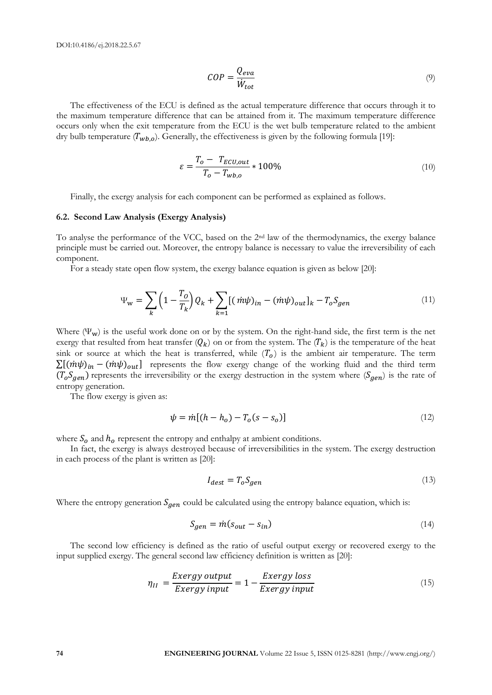$$
COP = \frac{Q_{eva}}{\dot{W}_{tot}}\tag{9}
$$

The effectiveness of the ECU is defined as the actual temperature difference that occurs through it to the maximum temperature difference that can be attained from it. The maximum temperature difference occurs only when the exit temperature from the ECU is the wet bulb temperature related to the ambient dry bulb temperature  $(T_{wb, o})$ . Generally, the effectiveness is given by the following formula [19]:

$$
\varepsilon = \frac{T_o - T_{ECU,out}}{T_o - T_{wb,o}} * 100\%
$$
\n
$$
\tag{10}
$$

Finally, the exergy analysis for each component can be performed as explained as follows.

#### **6.2. Second Law Analysis (Exergy Analysis)**

To analyse the performance of the VCC, based on the 2nd law of the thermodynamics, the exergy balance principle must be carried out. Moreover, the entropy balance is necessary to value the irreversibility of each component.

For a steady state open flow system, the exergy balance equation is given as below [20]:

$$
\Psi_{\mathbf{w}} = \sum_{k} \left( 1 - \frac{T_o}{T_k} \right) Q_k + \sum_{k=1} [(\dot{m}\psi)_{in} - (\dot{m}\psi)_{out}]_k - T_o S_{gen} \tag{11}
$$

Where  $(\Psi_w)$  is the useful work done on or by the system. On the right-hand side, the first term is the net exergy that resulted from heat transfer  $(Q_k)$  on or from the system. The  $(T_k)$  is the temperature of the heat sink or source at which the heat is transferred, while  $(T<sub>o</sub>)$  is the ambient air temperature. The term  $\sum [(\dot{m}\psi)_{in} - (\dot{m}\psi)_{out}]$  represents the flow exergy change of the working fluid and the third term  $(T_oS_{gen})$  represents the irreversibility or the exergy destruction in the system where  $(S_{gen})$  is the rate of entropy generation.

The flow exergy is given as:

$$
\psi = m[(h - h_o) - T_o(s - s_o)]
$$
\n(12)

where  $S_0$  and  $h_0$  represent the entropy and enthalpy at ambient conditions.

In fact, the exergy is always destroyed because of irreversibilities in the system. The exergy destruction in each process of the plant is written as [20]:

$$
I_{dest} = T_o S_{gen} \tag{13}
$$

Where the entropy generation  $S_{gen}$  could be calculated using the entropy balance equation, which is:

$$
S_{gen} = \dot{m}(s_{out} - s_{in})
$$
\n(14)

The second low efficiency is defined as the ratio of useful output exergy or recovered exergy to the input supplied exergy. The general second law efficiency definition is written as [20]:

$$
\eta_{II} = \frac{Exergy\ output}{Exergy\ input} = 1 - \frac{Exergy\ loss}{Exergy\ input} \tag{15}
$$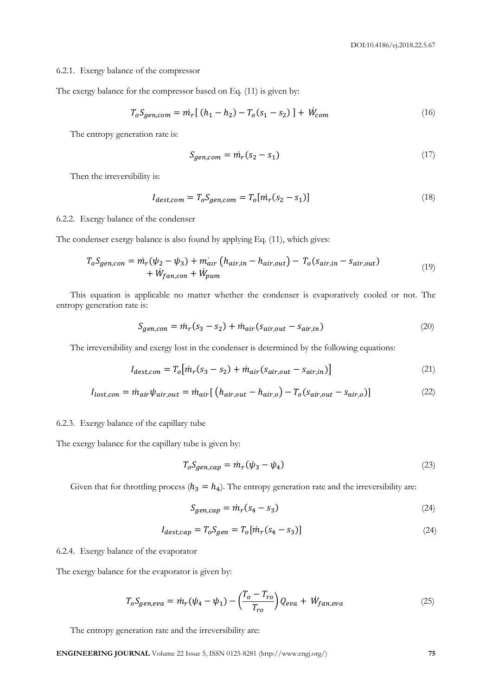#### 6.2.1. Exergy balance of the compressor

The exergy balance for the compressor based on Eq. (11) is given by:

$$
T_o S_{gen, com} = m_r [(h_1 - h_2) - T_o(s_1 - s_2)] + W_{com}
$$
\n(16)

The entropy generation rate is:

$$
S_{gen,com} = m_r(s_2 - s_1) \tag{17}
$$

Then the irreversibility is:

$$
I_{dest,com} = T_o S_{gen,com} = T_o [m_r (s_2 - s_1)]
$$
\n(18)

6.2.2. Exergy balance of the condenser

The condenser exergy balance is also found by applying Eq. (11), which gives:

$$
T_oS_{gen,con} = \dot{m}_r(\psi_2 - \psi_3) + \dot{m}_{air} \left( h_{air,in} - h_{air,out} \right) - T_o(s_{air,in} - s_{air,out}) + \dot{W}_{fan,con} + \dot{W}_{pum}
$$
\n(19)

This equation is applicable no matter whether the condenser is evaporatively cooled or not. The entropy generation rate is:

$$
S_{gen,con} = \dot{m}_r (s_3 - s_2) + \dot{m}_{air} (s_{air,out} - s_{air,in})
$$
\n(20)

The irreversibility and exergy lost in the condenser is determined by the following equations:

$$
I_{dest,con} = T_o \left[ \dot{m}_r (s_3 - s_2) + \dot{m}_{air} (s_{air,out} - s_{air,in}) \right]
$$
 (21)

$$
I_{lost,con} = \dot{m}_{air} \psi_{air,out} = \dot{m}_{air} \left[ \left( h_{air,out} - h_{air,o} \right) - T_o (s_{air,out} - s_{air,o} \right) \right]
$$
(22)

#### 6.2.3. Exergy balance of the capillary tube

The exergy balance for the capillary tube is given by:

$$
T_o S_{gen, cap} = \dot{m}_r (\psi_3 - \psi_4)
$$
\n<sup>(23)</sup>

Given that for throttling process  $(h_3 = h_4)$ . The entropy generation rate and the irreversibility are:

$$
S_{gen,cap} = \dot{m}_r (s_4 - s_3) \tag{24}
$$

$$
I_{dest,cap} = T_o S_{gen} = T_o [m_r (s_4 - s_3)]
$$
\n(24)

6.2.4. Exergy balance of the evaporator

The exergy balance for the evaporator is given by:

$$
T_o S_{gen,eva} = \dot{m}_r (\psi_4 - \psi_1) - \left(\frac{T_o - T_{ro}}{T_{ro}}\right) Q_{eva} + \dot{W}_{fan,eva}
$$
\n(25)

The entropy generation rate and the irreversibility are:

**ENGINEERING JOURNAL** Volume 22 Issue 5, ISSN 0125-8281 (http://www.engj.org/) **75**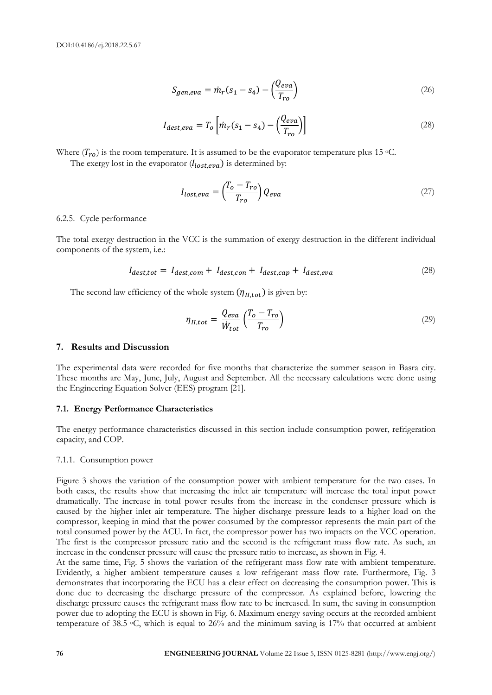$$
S_{gen,eva} = \dot{m}_r (s_1 - s_4) - \left(\frac{Q_{eva}}{T_{ro}}\right)
$$
\n(26)

$$
I_{dest,eva} = T_o \left[ \dot{m}_r (s_1 - s_4) - \left( \frac{Q_{eva}}{T_{ro}} \right) \right]
$$
 (28)

Where  $(T_{ro})$  is the room temperature. It is assumed to be the evaporator temperature plus 15 °C.

The exergy lost in the evaporator  $(l_{lost,eva})$  is determined by:

$$
I_{lost,eva} = \left(\frac{T_o - T_{ro}}{T_{ro}}\right) Q_{eva}
$$
\n<sup>(27)</sup>

#### 6.2.5. Cycle performance

The total exergy destruction in the VCC is the summation of exergy destruction in the different individual components of the system, i.e.:

$$
I_{dest,tot} = I_{dest,com} + I_{dest,con} + I_{dest,cap} + I_{dest,eva}
$$
\n(28)

The second law efficiency of the whole system  $(\eta_{II,tot})$  is given by:

$$
\eta_{II,tot} = \frac{Q_{eva}}{\dot{W}_{tot}} \left( \frac{T_o - T_{ro}}{T_{ro}} \right)
$$
\n(29)

#### **7. Results and Discussion**

The experimental data were recorded for five months that characterize the summer season in Basra city. These months are May, June, July, August and September. All the necessary calculations were done using the Engineering Equation Solver (EES) program [21].

#### **7.1. Energy Performance Characteristics**

The energy performance characteristics discussed in this section include consumption power, refrigeration capacity, and COP.

#### 7.1.1. Consumption power

Figure 3 shows the variation of the consumption power with ambient temperature for the two cases. In both cases, the results show that increasing the inlet air temperature will increase the total input power dramatically. The increase in total power results from the increase in the condenser pressure which is caused by the higher inlet air temperature. The higher discharge pressure leads to a higher load on the compressor, keeping in mind that the power consumed by the compressor represents the main part of the total consumed power by the ACU. In fact, the compressor power has two impacts on the VCC operation. The first is the compressor pressure ratio and the second is the refrigerant mass flow rate. As such, an increase in the condenser pressure will cause the pressure ratio to increase, as shown in Fig. 4.

At the same time, Fig. 5 shows the variation of the refrigerant mass flow rate with ambient temperature. Evidently, a higher ambient temperature causes a low refrigerant mass flow rate. Furthermore, Fig. 3 demonstrates that incorporating the ECU has a clear effect on decreasing the consumption power. This is done due to decreasing the discharge pressure of the compressor. As explained before, lowering the discharge pressure causes the refrigerant mass flow rate to be increased. In sum, the saving in consumption power due to adopting the ECU is shown in Fig. 6. Maximum energy saving occurs at the recorded ambient temperature of 38.5 °C, which is equal to 26% and the minimum saving is 17% that occurred at ambient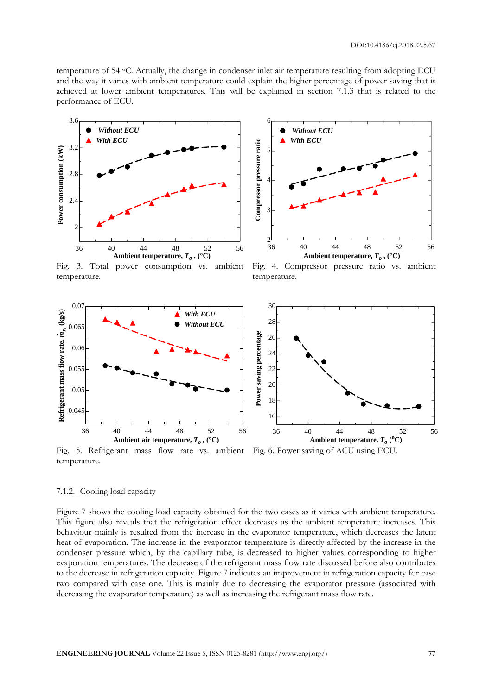temperature of 54 <sup>o</sup>C. Actually, the change in condenser inlet air temperature resulting from adopting ECU and the way it varies with ambient temperature could explain the higher percentage of power saving that is achieved at lower ambient temperatures. This will be explained in section 7.1.3 that is related to the performance of ECU.



Fig. 3. Total power consumption vs. ambient temperature.



Fig. 4. Compressor pressure ratio vs. ambient temperature.



Fig. 5. Refrigerant mass flow rate vs. ambient Fig. 6. Power saving of ACU using ECU. temperature.

### 7.1.2. Cooling load capacity

Figure 7 shows the cooling load capacity obtained for the two cases as it varies with ambient temperature. This figure also reveals that the refrigeration effect decreases as the ambient temperature increases. This behaviour mainly is resulted from the increase in the evaporator temperature, which decreases the latent heat of evaporation. The increase in the evaporator temperature is directly affected by the increase in the condenser pressure which, by the capillary tube, is decreased to higher values corresponding to higher evaporation temperatures. The decrease of the refrigerant mass flow rate discussed before also contributes to the decrease in refrigeration capacity. Figure 7 indicates an improvement in refrigeration capacity for case two compared with case one. This is mainly due to decreasing the evaporator pressure (associated with decreasing the evaporator temperature) as well as increasing the refrigerant mass flow rate.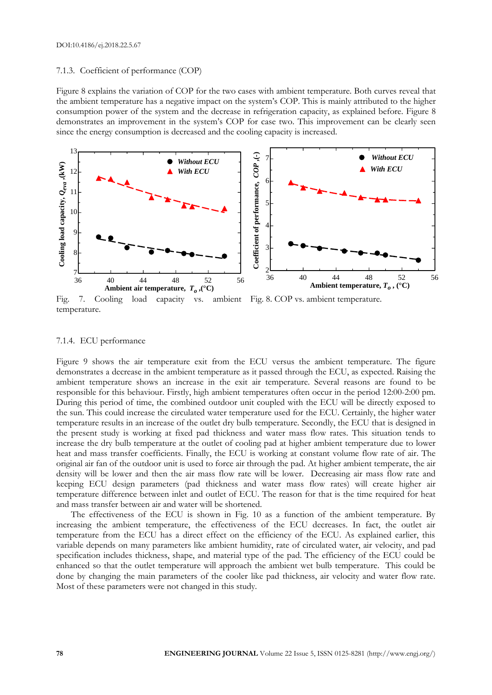#### 7.1.3. Coefficient of performance (COP)

Figure 8 explains the variation of COP for the two cases with ambient temperature. Both curves reveal that the ambient temperature has a negative impact on the system's COP. This is mainly attributed to the higher consumption power of the system and the decrease in refrigeration capacity, as explained before. Figure 8 demonstrates an improvement in the system's COP for case two. This improvement can be clearly seen since the energy consumption is decreased and the cooling capacity is increased.



Fig. 7. Cooling load capacity vs. ambient Fig. 8. COP vs. ambient temperature. temperature.

#### 7.1.4. ECU performance

Figure 9 shows the air temperature exit from the ECU versus the ambient temperature. The figure demonstrates a decrease in the ambient temperature as it passed through the ECU, as expected. Raising the ambient temperature shows an increase in the exit air temperature. Several reasons are found to be responsible for this behaviour. Firstly, high ambient temperatures often occur in the period 12:00-2:00 pm. During this period of time, the combined outdoor unit coupled with the ECU will be directly exposed to the sun. This could increase the circulated water temperature used for the ECU. Certainly, the higher water temperature results in an increase of the outlet dry bulb temperature. Secondly, the ECU that is designed in the present study is working at fixed pad thickness and water mass flow rates. This situation tends to increase the dry bulb temperature at the outlet of cooling pad at higher ambient temperature due to lower heat and mass transfer coefficients. Finally, the ECU is working at constant volume flow rate of air. The original air fan of the outdoor unit is used to force air through the pad. At higher ambient temperate, the air density will be lower and then the air mass flow rate will be lower. Decreasing air mass flow rate and keeping ECU design parameters (pad thickness and water mass flow rates) will create higher air temperature difference between inlet and outlet of ECU. The reason for that is the time required for heat and mass transfer between air and water will be shortened.

The effectiveness of the ECU is shown in Fig. 10 as a function of the ambient temperature. By increasing the ambient temperature, the effectiveness of the ECU decreases. In fact, the outlet air temperature from the ECU has a direct effect on the efficiency of the ECU. As explained earlier, this variable depends on many parameters like ambient humidity, rate of circulated water, air velocity, and pad specification includes thickness, shape, and material type of the pad. The efficiency of the ECU could be enhanced so that the outlet temperature will approach the ambient wet bulb temperature. This could be done by changing the main parameters of the cooler like pad thickness, air velocity and water flow rate. Most of these parameters were not changed in this study.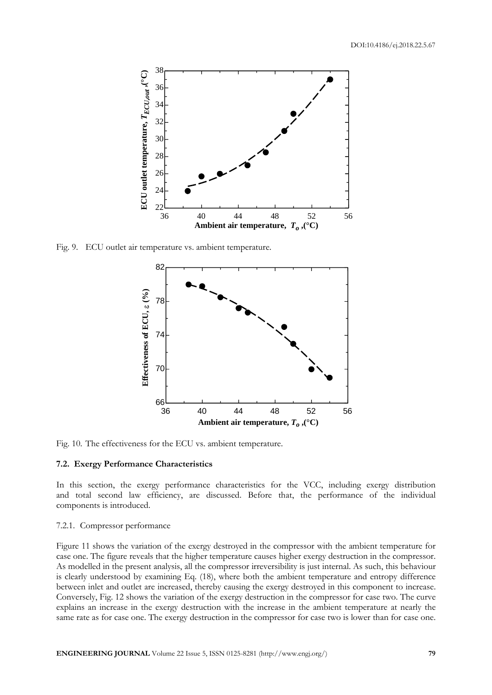

Fig. 9. ECU outlet air temperature vs. ambient temperature.



Fig. 10. The effectiveness for the ECU vs. ambient temperature.

# **7.2. Exergy Performance Characteristics**

In this section, the exergy performance characteristics for the VCC, including exergy distribution and total second law efficiency, are discussed. Before that, the performance of the individual components is introduced.

### 7.2.1. Compressor performance

Figure 11 shows the variation of the exergy destroyed in the compressor with the ambient temperature for case one. The figure reveals that the higher temperature causes higher exergy destruction in the compressor. As modelled in the present analysis, all the compressor irreversibility is just internal. As such, this behaviour is clearly understood by examining Eq. (18), where both the ambient temperature and entropy difference between inlet and outlet are increased, thereby causing the exergy destroyed in this component to increase. Conversely, Fig. 12 shows the variation of the exergy destruction in the compressor for case two. The curve explains an increase in the exergy destruction with the increase in the ambient temperature at nearly the same rate as for case one. The exergy destruction in the compressor for case two is lower than for case one.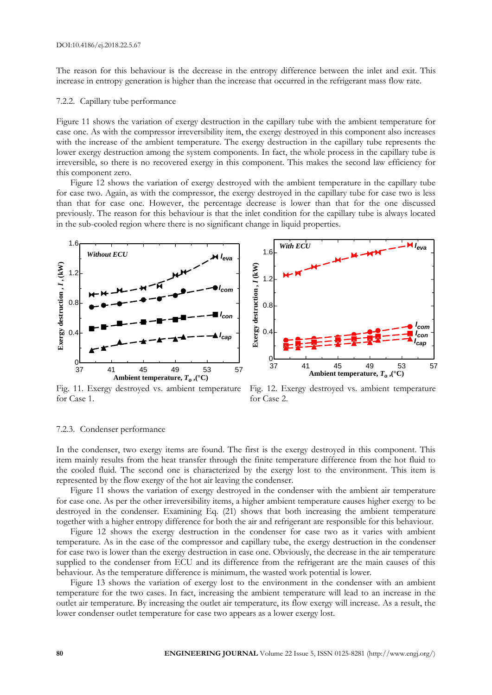The reason for this behaviour is the decrease in the entropy difference between the inlet and exit. This increase in entropy generation is higher than the increase that occurred in the refrigerant mass flow rate.

#### 7.2.2. Capillary tube performance

Figure 11 shows the variation of exergy destruction in the capillary tube with the ambient temperature for case one. As with the compressor irreversibility item, the exergy destroyed in this component also increases with the increase of the ambient temperature. The exergy destruction in the capillary tube represents the lower exergy destruction among the system components. In fact, the whole process in the capillary tube is irreversible, so there is no recovered exergy in this component. This makes the second law efficiency for this component zero.

Figure 12 shows the variation of exergy destroyed with the ambient temperature in the capillary tube for case two. Again, as with the compressor, the exergy destroyed in the capillary tube for case two is less than that for case one. However, the percentage decrease is lower than that for the one discussed previously. The reason for this behaviour is that the inlet condition for the capillary tube is always located in the sub-cooled region where there is no significant change in liquid properties.





Fig. 11. Exergy destroyed vs. ambient temperature for Case 1.

Fig. 12. Exergy destroyed vs. ambient temperature for Case 2.

#### 7.2.3. Condenser performance

In the condenser, two exergy items are found. The first is the exergy destroyed in this component. This item mainly results from the heat transfer through the finite temperature difference from the hot fluid to the cooled fluid. The second one is characterized by the exergy lost to the environment. This item is represented by the flow exergy of the hot air leaving the condenser.

Figure 11 shows the variation of exergy destroyed in the condenser with the ambient air temperature for case one. As per the other irreversibility items, a higher ambient temperature causes higher exergy to be destroyed in the condenser. Examining Eq. (21) shows that both increasing the ambient temperature together with a higher entropy difference for both the air and refrigerant are responsible for this behaviour.

Figure 12 shows the exergy destruction in the condenser for case two as it varies with ambient temperature. As in the case of the compressor and capillary tube, the exergy destruction in the condenser for case two is lower than the exergy destruction in case one. Obviously, the decrease in the air temperature supplied to the condenser from ECU and its difference from the refrigerant are the main causes of this behaviour. As the temperature difference is minimum, the wasted work potential is lower.

Figure 13 shows the variation of exergy lost to the environment in the condenser with an ambient temperature for the two cases. In fact, increasing the ambient temperature will lead to an increase in the outlet air temperature. By increasing the outlet air temperature, its flow exergy will increase. As a result, the lower condenser outlet temperature for case two appears as a lower exergy lost.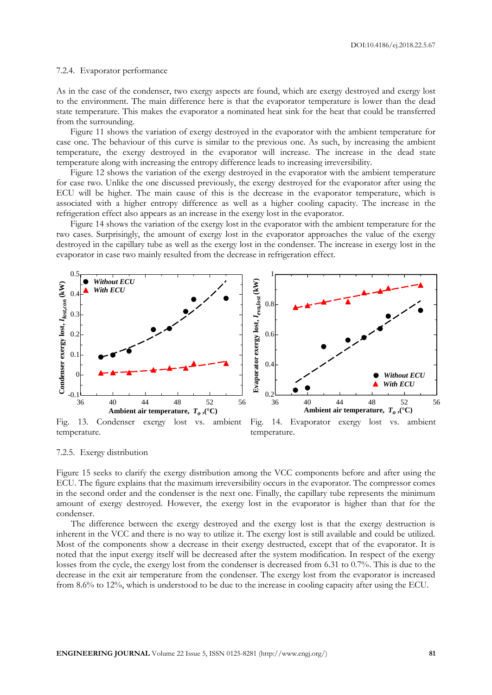#### 7.2.4. Evaporator performance

As in the case of the condenser, two exergy aspects are found, which are exergy destroyed and exergy lost to the environment. The main difference here is that the evaporator temperature is lower than the dead state temperature. This makes the evaporator a nominated heat sink for the heat that could be transferred from the surrounding.

Figure 11 shows the variation of exergy destroyed in the evaporator with the ambient temperature for case one. The behaviour of this curve is similar to the previous one. As such, by increasing the ambient temperature, the exergy destroyed in the evaporator will increase. The increase in the dead state temperature along with increasing the entropy difference leads to increasing irreversibility.

Figure 12 shows the variation of the exergy destroyed in the evaporator with the ambient temperature for case two. Unlike the one discussed previously, the exergy destroyed for the evaporator after using the ECU will be higher. The main cause of this is the decrease in the evaporator temperature, which is associated with a higher entropy difference as well as a higher cooling capacity. The increase in the refrigeration effect also appears as an increase in the exergy lost in the evaporator.

Figure 14 shows the variation of the exergy lost in the evaporator with the ambient temperature for the two cases. Surprisingly, the amount of exergy lost in the evaporator approaches the value of the exergy destroyed in the capillary tube as well as the exergy lost in the condenser. The increase in exergy lost in the evaporator in case two mainly resulted from the decrease in refrigeration effect.



temperature. temperature.

7.2.5. Exergy distribution

Figure 15 seeks to clarify the exergy distribution among the VCC components before and after using the ECU. The figure explains that the maximum irreversibility occurs in the evaporator. The compressor comes in the second order and the condenser is the next one. Finally, the capillary tube represents the minimum amount of exergy destroyed. However, the exergy lost in the evaporator is higher than that for the condenser.

The difference between the exergy destroyed and the exergy lost is that the exergy destruction is inherent in the VCC and there is no way to utilize it. The exergy lost is still available and could be utilized. Most of the components show a decrease in their exergy destructed, except that of the evaporator. It is noted that the input exergy itself will be decreased after the system modification. In respect of the exergy losses from the cycle, the exergy lost from the condenser is decreased from 6.31 to 0.7%. This is due to the decrease in the exit air temperature from the condenser. The exergy lost from the evaporator is increased from 8.6% to 12%, which is understood to be due to the increase in cooling capacity after using the ECU.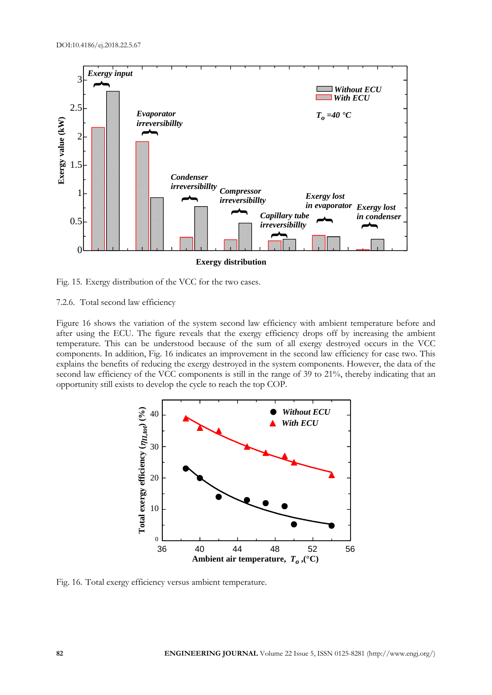

Fig. 15. Exergy distribution of the VCC for the two cases.

7.2.6. Total second law efficiency

Figure 16 shows the variation of the system second law efficiency with ambient temperature before and after using the ECU. The figure reveals that the exergy efficiency drops off by increasing the ambient temperature. This can be understood because of the sum of all exergy destroyed occurs in the VCC components. In addition, Fig. 16 indicates an improvement in the second law efficiency for case two. This explains the benefits of reducing the exergy destroyed in the system components. However, the data of the second law efficiency of the VCC components is still in the range of 39 to 21%, thereby indicating that an opportunity still exists to develop the cycle to reach the top COP.



Fig. 16. Total exergy efficiency versus ambient temperature.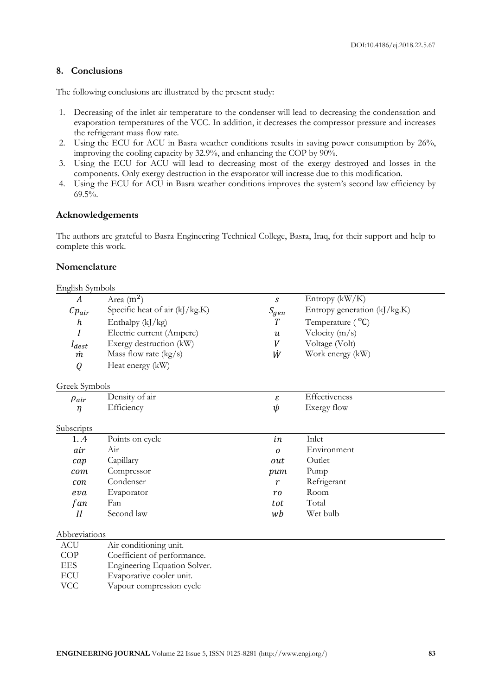# **8. Conclusions**

The following conclusions are illustrated by the present study:

- 1. Decreasing of the inlet air temperature to the condenser will lead to decreasing the condensation and evaporation temperatures of the VCC. In addition, it decreases the compressor pressure and increases the refrigerant mass flow rate.
- 2. Using the ECU for ACU in Basra weather conditions results in saving power consumption by 26%, improving the cooling capacity by 32.9%, and enhancing the COP by 90%.
- 3. Using the ECU for ACU will lead to decreasing most of the exergy destroyed and losses in the components. Only exergy destruction in the evaporator will increase due to this modification.
- 4. Using the ECU for ACU in Basra weather conditions improves the system's second law efficiency by 69.5%.

### **Acknowledgements**

The authors are grateful to Basra Engineering Technical College, Basra, Iraq, for their support and help to complete this work.

### **Nomenclature**

| English Symbols  |                                   |                  |                               |
|------------------|-----------------------------------|------------------|-------------------------------|
| A                | Area $(m^2)$                      | S                | Entropy $(kW/K)$              |
| $Cp_{air}$       | Specific heat of air $(k]/kg.K$ ) | $S_{gen}$        | Entropy generation (kJ/kg.K)  |
| $\boldsymbol{h}$ | Enthalpy (kJ/kg)                  | T                | Temperature ( <sup>o</sup> C) |
| I                | Electric current (Ampere)         | $\boldsymbol{u}$ | Velocity $(m/s)$              |
| $I_{dest}$       | Exergy destruction (kW)           | V                | Voltage (Volt)                |
| m                | Mass flow rate $(kg/s)$           | Ŵ                | Work energy (kW)              |
| Q                | Heat energy (kW)                  |                  |                               |
| Greek Symbols    |                                   |                  |                               |
| $\rho_{air}$     | Density of air                    | ε                | Effectiveness                 |
| $\eta$           | Efficiency                        | ψ                | Exergy flow                   |
| Subscripts       |                                   |                  |                               |
| 1.4              | Points on cycle                   | in               | Inlet                         |
| air              | Air                               | $\Omega$         | Environment                   |
| cap              | Capillary                         | out              | Outlet                        |
| com              | Compressor                        | pum              | Pump                          |
| con              | Condenser                         | $\boldsymbol{r}$ | Refrigerant                   |
| eva              | Evaporator                        | r <sub>0</sub>   | Room                          |
| fan              | Fan                               | tot              | Total                         |
| II               | Second law                        | wb               | Wet bulb                      |
| Abbreviations    |                                   |                  |                               |

| ACU  | Air conditioning unit.       |
|------|------------------------------|
| COP  | Coefficient of performance.  |
| EES. | Engineering Equation Solver. |

- ECU Evaporative cooler unit.
- VCC Vapour compression cycle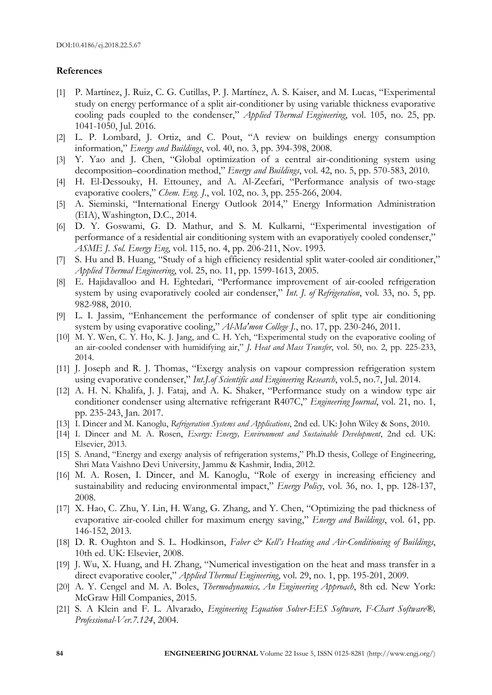# **References**

- [1] P. Martínez, J. Ruiz, C. G. Cutillas, P. J. Martínez, A. S. Kaiser, and M. Lucas, "Experimental study on energy performance of a split air-conditioner by using variable thickness evaporative cooling pads coupled to the condenser," *Applied Thermal Engineering*, vol. 105, no. 25, pp. 1041-1050, Jul. 2016.
- [2] L. P. Lombard, J. Ortiz, and C. Pout, "A review on buildings energy consumption information," *Energy and Buildings*, vol. 40, no. 3, pp. 394-398, 2008.
- [3] Y. Yao and J. Chen, "Global optimization of a central air-conditioning system using decomposition–coordination method," *Energy and Buildings*, vol. 42, no. 5, pp. 570-583, 2010.
- [4] H. El-Dessouky, H. Ettouney, and A. Al-Zeefari, "Performance analysis of two-stage evaporative coolers," *Chem. Eng. J.*, vol. 102, no. 3, pp. 255-266, 2004.
- [5] A. Sieminski, "International Energy Outlook 2014," Energy Information Administration (EIA), Washington, D.C., 2014.
- [6] D. Y. Goswami, G. D. Mathur, and S. M. Kulkarni, "Experimental investigation of performance of a residential air conditioning system with an evaporatiyely cooled condenser," *ASME J. Sol. Energy Eng*, vol. 115, no. 4, pp. 206-211, Nov. 1993.
- [7] S. Hu and B. Huang, "Study of a high efficiency residential split water-cooled air conditioner," *Applied Thermal Engineering*, vol. 25, no. 11, pp. 1599-1613, 2005.
- [8] E. Hajidavalloo and H. Eghtedari, "Performance improvement of air-cooled refrigeration system by using evaporatively cooled air condenser," *Int. J. of Refrigeration*, vol. 33, no. 5, pp. 982-988, 2010.
- [9] L. I. Jassim, "Enhancement the performance of condenser of split type air conditioning system by using evaporative cooling," *Al-Ma'mon College J.*, no. 17, pp. 230-246, 2011.
- [10] M. Y. Wen, C. Y. Ho, K. J. Jang, and C. H. Yeh, "Experimental study on the evaporative cooling of an air-cooled condenser with humidifying air," *J. Heat and Mass Transfer*, vol. 50, no. 2, pp. 225-233, 2014.
- [11] J. Joseph and R. J. Thomas, "Exergy analysis on vapour compression refrigeration system using evaporative condenser," *Int.J.of Scientific and Engineering Research*, vol.5, no.7, Jul. 2014.
- [12] A. H. N. Khalifa, J. J. Fataj, and A. K. Shaker, "Performance study on a window type air conditioner condenser using alternative refrigerant R407C," *Engineering Journal*, vol. 21, no. 1, pp. 235-243, Jan. 2017.
- [13] I. Dincer and M. Kanoglu, *Refrigeration Systems and Applications*, 2nd ed. UK: John Wiley & Sons, 2010.
- [14] I. Dincer and M. A. Rosen, *Exergy: Energy, Environment and Sustainable Development*, 2nd ed. UK: Elsevier, 2013.
- [15] S. Anand, "Energy and exergy analysis of refrigeration systems," Ph.D thesis, College of Engineering, Shri Mata Vaishno Devi University, Jammu & Kashmir, India, 2012.
- [16] M. A. Rosen, I. Dincer, and M. Kanoglu, "Role of exergy in increasing efficiency and sustainability and reducing environmental impact," *Energy Policy*, vol. 36, no. 1, pp. 128-137, 2008.
- [17] X. Hao, C. Zhu, Y. Lin, H. Wang, G. Zhang, and Y. Chen, "Optimizing the pad thickness of evaporative air-cooled chiller for maximum energy saving," *Energy and Buildings*, vol. 61, pp. 146-152, 2013.
- [18] D. R. Oughton and S. L. Hodkinson, *Faber & Kell's Heating and Air-Conditioning of Buildings*, 10th ed. UK: Elsevier, 2008.
- [19] J. Wu, X. Huang, and H. Zhang, "Numerical investigation on the heat and mass transfer in a direct evaporative cooler," *Applied Thermal Engineering*, vol. 29, no. 1, pp. 195-201, 2009.
- [20] A. Y. Cengel and M. A. Boles, *Thermodynamics, An Engineering Approach*, 8th ed. New York: McGraw Hill Companies, 2015.
- [21] S. A Klein and F. L. Alvarado, *Engineering Equation Solver-EES Software, F-Chart Software®, Professional-Ver.7.124*, 2004.